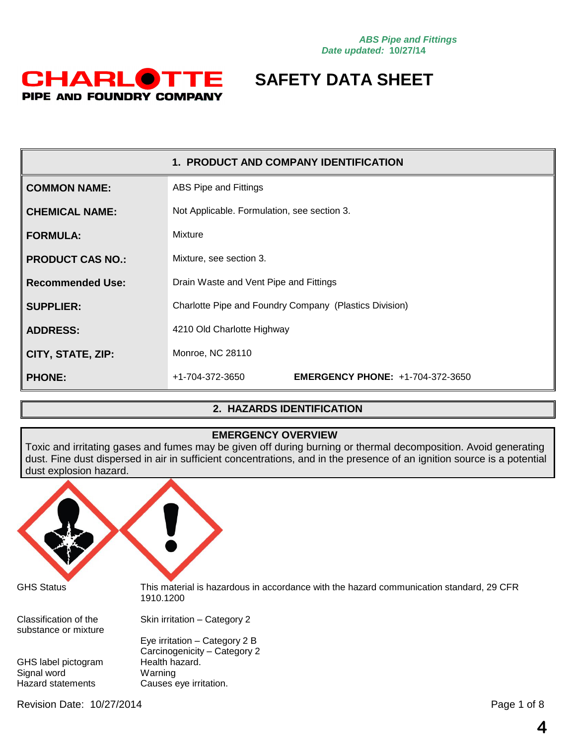

|                         | 1. PRODUCT AND COMPANY IDENTIFICATION                      |  |
|-------------------------|------------------------------------------------------------|--|
| <b>COMMON NAME:</b>     | ABS Pipe and Fittings                                      |  |
| <b>CHEMICAL NAME:</b>   | Not Applicable. Formulation, see section 3.                |  |
| <b>FORMULA:</b>         | Mixture                                                    |  |
| <b>PRODUCT CAS NO.:</b> | Mixture, see section 3.                                    |  |
| <b>Recommended Use:</b> | Drain Waste and Vent Pipe and Fittings                     |  |
| <b>SUPPLIER:</b>        | Charlotte Pipe and Foundry Company (Plastics Division)     |  |
| <b>ADDRESS:</b>         | 4210 Old Charlotte Highway                                 |  |
| CITY, STATE, ZIP:       | Monroe, NC 28110                                           |  |
| <b>PHONE:</b>           | <b>EMERGENCY PHONE: +1-704-372-3650</b><br>+1-704-372-3650 |  |

### **2. HAZARDS IDENTIFICATION**

### **EMERGENCY OVERVIEW**

Toxic and irritating gases and fumes may be given off during burning or thermal decomposition. Avoid generating dust. Fine dust dispersed in air in sufficient concentrations, and in the presence of an ignition source is a potential dust explosion hazard.

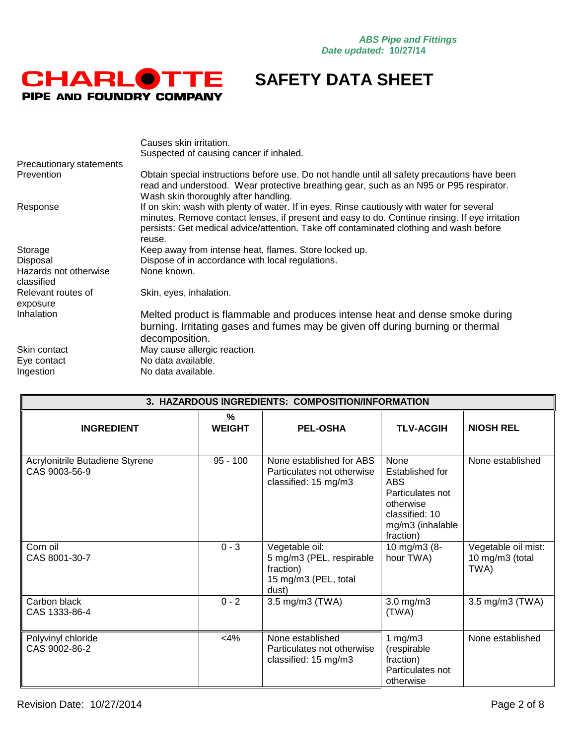

| Causes skin irritation.                                                                                                                                                                                                                                                                          |
|--------------------------------------------------------------------------------------------------------------------------------------------------------------------------------------------------------------------------------------------------------------------------------------------------|
| Suspected of causing cancer if inhaled.                                                                                                                                                                                                                                                          |
|                                                                                                                                                                                                                                                                                                  |
| Obtain special instructions before use. Do not handle until all safety precautions have been<br>read and understood. Wear protective breathing gear, such as an N95 or P95 respirator.<br>Wash skin thoroughly after handling.                                                                   |
| If on skin: wash with plenty of water. If in eyes. Rinse cautiously with water for several<br>minutes. Remove contact lenses, if present and easy to do. Continue rinsing. If eye irritation<br>persists: Get medical advice/attention. Take off contaminated clothing and wash before<br>reuse. |
| Keep away from intense heat, flames. Store locked up.                                                                                                                                                                                                                                            |
| Dispose of in accordance with local regulations.                                                                                                                                                                                                                                                 |
| None known.                                                                                                                                                                                                                                                                                      |
| Skin, eyes, inhalation.                                                                                                                                                                                                                                                                          |
| Melted product is flammable and produces intense heat and dense smoke during<br>burning. Irritating gases and fumes may be given off during burning or thermal<br>decomposition.                                                                                                                 |
| May cause allergic reaction.                                                                                                                                                                                                                                                                     |
| No data available.                                                                                                                                                                                                                                                                               |
| No data available.                                                                                                                                                                                                                                                                               |
|                                                                                                                                                                                                                                                                                                  |

| 3. HAZARDOUS INGREDIENTS: COMPOSITION/INFORMATION |                    |                                                                                          |                                                                                                                    |                                                |
|---------------------------------------------------|--------------------|------------------------------------------------------------------------------------------|--------------------------------------------------------------------------------------------------------------------|------------------------------------------------|
| <b>INGREDIENT</b>                                 | %<br><b>WEIGHT</b> | <b>PEL-OSHA</b>                                                                          | <b>TLV-ACGIH</b>                                                                                                   | <b>NIOSH REL</b>                               |
| Acrylonitrile Butadiene Styrene<br>CAS 9003-56-9  | $95 - 100$         | None established for ABS<br>Particulates not otherwise<br>classified: 15 mg/m3           | None<br>Established for<br>ABS<br>Particulates not<br>otherwise<br>classified: 10<br>mg/m3 (inhalable<br>fraction) | None established                               |
| Corn oil<br>CAS 8001-30-7                         | $0 - 3$            | Vegetable oil:<br>5 mg/m3 (PEL, respirable<br>fraction)<br>15 mg/m3 (PEL, total<br>dust) | 10 mg/m3 (8-<br>hour TWA)                                                                                          | Vegetable oil mist:<br>10 mg/m3 (total<br>TWA) |
| Carbon black<br>CAS 1333-86-4                     | $0 - 2$            | 3.5 mg/m3 (TWA)                                                                          | $3.0$ mg/m $3$<br>(TWA)                                                                                            | 3.5 mg/m3 (TWA)                                |
| Polyvinyl chloride<br>CAS 9002-86-2               | $<$ 4%             | None established<br>Particulates not otherwise<br>classified: 15 mg/m3                   | 1 $mg/m3$<br>(respirable<br>fraction)<br>Particulates not<br>otherwise                                             | None established                               |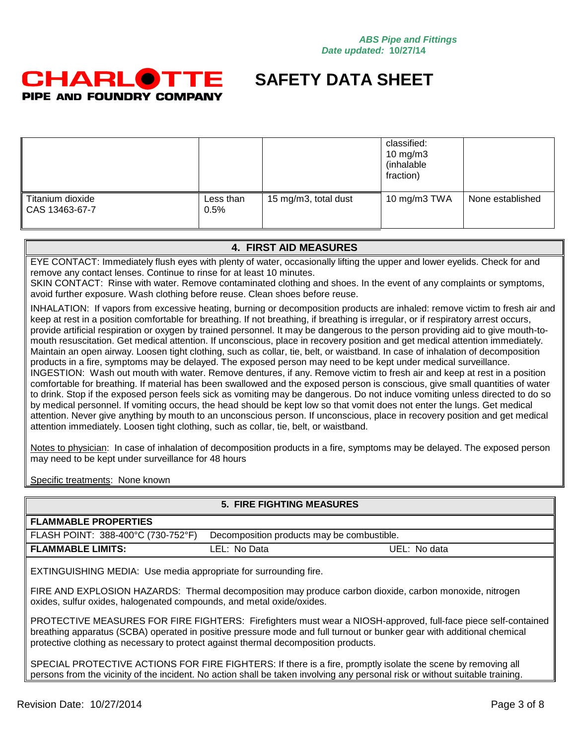

|                                                |                   |                      | classified:<br>10 mg/m $3$<br>(inhalable<br>fraction) |                  |
|------------------------------------------------|-------------------|----------------------|-------------------------------------------------------|------------------|
| Titanium dioxide<br>$\parallel$ CAS 13463-67-7 | Less than<br>0.5% | 15 mg/m3, total dust | 10 mg/m3 TWA                                          | None established |

### **4. FIRST AID MEASURES**

EYE CONTACT: Immediately flush eyes with plenty of water, occasionally lifting the upper and lower eyelids. Check for and remove any contact lenses. Continue to rinse for at least 10 minutes.

SKIN CONTACT: Rinse with water. Remove contaminated clothing and shoes. In the event of any complaints or symptoms, avoid further exposure. Wash clothing before reuse. Clean shoes before reuse.

INHALATION: If vapors from excessive heating, burning or decomposition products are inhaled: remove victim to fresh air and keep at rest in a position comfortable for breathing. If not breathing, if breathing is irregular, or if respiratory arrest occurs, provide artificial respiration or oxygen by trained personnel. It may be dangerous to the person providing aid to give mouth-tomouth resuscitation. Get medical attention. If unconscious, place in recovery position and get medical attention immediately. Maintain an open airway. Loosen tight clothing, such as collar, tie, belt, or waistband. In case of inhalation of decomposition products in a fire, symptoms may be delayed. The exposed person may need to be kept under medical surveillance. INGESTION: Wash out mouth with water. Remove dentures, if any. Remove victim to fresh air and keep at rest in a position comfortable for breathing. If material has been swallowed and the exposed person is conscious, give small quantities of water to drink. Stop if the exposed person feels sick as vomiting may be dangerous. Do not induce vomiting unless directed to do so by medical personnel. If vomiting occurs, the head should be kept low so that vomit does not enter the lungs. Get medical attention. Never give anything by mouth to an unconscious person. If unconscious, place in recovery position and get medical attention immediately. Loosen tight clothing, such as collar, tie, belt, or waistband.

Notes to physician: In case of inhalation of decomposition products in a fire, symptoms may be delayed. The exposed person may need to be kept under surveillance for 48 hours

Specific treatments: None known

#### **5. FIRE FIGHTING MEASURES**

| <b>FLAMMABLE PROPERTIES</b>        |                                            |              |
|------------------------------------|--------------------------------------------|--------------|
| FLASH POINT: 388-400°C (730-752°F) | Decomposition products may be combustible. |              |
| FLAMMABLE LIMITS:                  | LEL: No Data                               | UEL: No data |

EXTINGUISHING MEDIA: Use media appropriate for surrounding fire.

FIRE AND EXPLOSION HAZARDS: Thermal decomposition may produce carbon dioxide, carbon monoxide, nitrogen oxides, sulfur oxides, halogenated compounds, and metal oxide/oxides.

PROTECTIVE MEASURES FOR FIRE FIGHTERS: Firefighters must wear a NIOSH-approved, full-face piece self-contained breathing apparatus (SCBA) operated in positive pressure mode and full turnout or bunker gear with additional chemical protective clothing as necessary to protect against thermal decomposition products.

SPECIAL PROTECTIVE ACTIONS FOR FIRE FIGHTERS: If there is a fire, promptly isolate the scene by removing all persons from the vicinity of the incident. No action shall be taken involving any personal risk or without suitable training.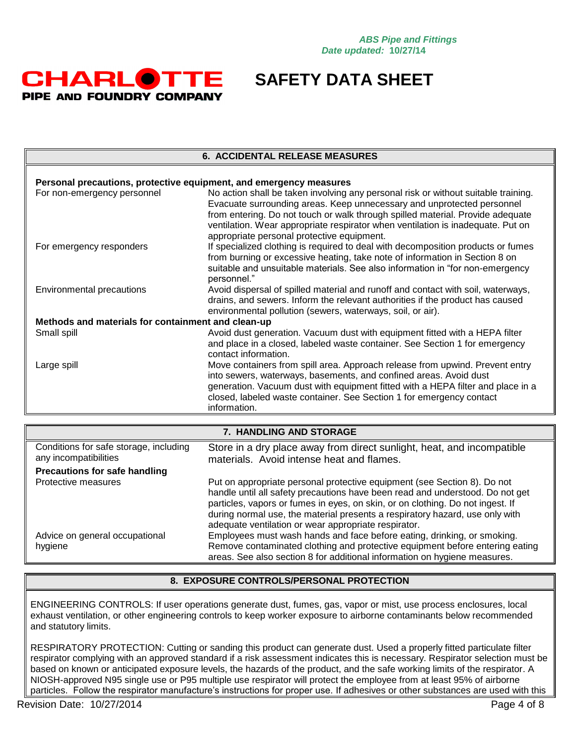

#### **6. ACCIDENTAL RELEASE MEASURES**

| Personal precautions, protective equipment, and emergency measures |                                                                                                                                                                                                                                                                                                                                                                                 |  |  |
|--------------------------------------------------------------------|---------------------------------------------------------------------------------------------------------------------------------------------------------------------------------------------------------------------------------------------------------------------------------------------------------------------------------------------------------------------------------|--|--|
| For non-emergency personnel                                        | No action shall be taken involving any personal risk or without suitable training.<br>Evacuate surrounding areas. Keep unnecessary and unprotected personnel<br>from entering. Do not touch or walk through spilled material. Provide adequate<br>ventilation. Wear appropriate respirator when ventilation is inadequate. Put on<br>appropriate personal protective equipment. |  |  |
| For emergency responders                                           | If specialized clothing is required to deal with decomposition products or fumes<br>from burning or excessive heating, take note of information in Section 8 on<br>suitable and unsuitable materials. See also information in "for non-emergency<br>personnel."                                                                                                                 |  |  |
| Environmental precautions                                          | Avoid dispersal of spilled material and runoff and contact with soil, waterways,<br>drains, and sewers. Inform the relevant authorities if the product has caused<br>environmental pollution (sewers, waterways, soil, or air).                                                                                                                                                 |  |  |
| Methods and materials for containment and clean-up                 |                                                                                                                                                                                                                                                                                                                                                                                 |  |  |
| Small spill                                                        | Avoid dust generation. Vacuum dust with equipment fitted with a HEPA filter<br>and place in a closed, labeled waste container. See Section 1 for emergency<br>contact information.                                                                                                                                                                                              |  |  |
| Large spill                                                        | Move containers from spill area. Approach release from upwind. Prevent entry<br>into sewers, waterways, basements, and confined areas. Avoid dust<br>generation. Vacuum dust with equipment fitted with a HEPA filter and place in a<br>closed, labeled waste container. See Section 1 for emergency contact<br>information.                                                    |  |  |

| 7. HANDLING AND STORAGE                                         |                                                                                                                                                                                                                                                                                                                                                                                     |  |
|-----------------------------------------------------------------|-------------------------------------------------------------------------------------------------------------------------------------------------------------------------------------------------------------------------------------------------------------------------------------------------------------------------------------------------------------------------------------|--|
| Conditions for safe storage, including<br>any incompatibilities | Store in a dry place away from direct sunlight, heat, and incompatible<br>materials. Avoid intense heat and flames.                                                                                                                                                                                                                                                                 |  |
| Precautions for safe handling                                   |                                                                                                                                                                                                                                                                                                                                                                                     |  |
| Protective measures                                             | Put on appropriate personal protective equipment (see Section 8). Do not<br>handle until all safety precautions have been read and understood. Do not get<br>particles, vapors or fumes in eyes, on skin, or on clothing. Do not ingest. If<br>during normal use, the material presents a respiratory hazard, use only with<br>adequate ventilation or wear appropriate respirator. |  |
| Advice on general occupational                                  | Employees must wash hands and face before eating, drinking, or smoking.                                                                                                                                                                                                                                                                                                             |  |
| hygiene                                                         | Remove contaminated clothing and protective equipment before entering eating<br>areas. See also section 8 for additional information on hygiene measures.                                                                                                                                                                                                                           |  |

#### **8. EXPOSURE CONTROLS/PERSONAL PROTECTION**

ENGINEERING CONTROLS: If user operations generate dust, fumes, gas, vapor or mist, use process enclosures, local exhaust ventilation, or other engineering controls to keep worker exposure to airborne contaminants below recommended and statutory limits.

RESPIRATORY PROTECTION: Cutting or sanding this product can generate dust. Used a properly fitted particulate filter respirator complying with an approved standard if a risk assessment indicates this is necessary. Respirator selection must be based on known or anticipated exposure levels, the hazards of the product, and the safe working limits of the respirator. A NIOSH-approved N95 single use or P95 multiple use respirator will protect the employee from at least 95% of airborne particles. Follow the respirator manufacture's instructions for proper use. If adhesives or other substances are used with this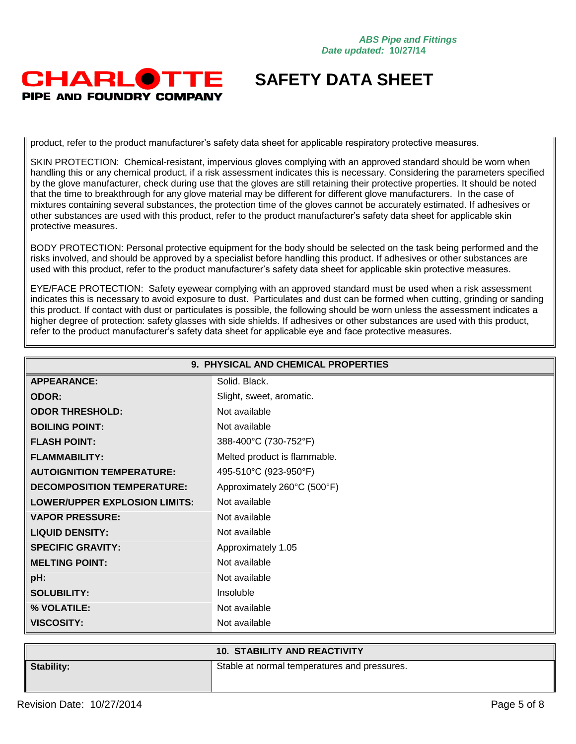### **CHARLOTTE** PIPE AND FOUNDRY COMPANY

## **SAFETY DATA SHEET**

product, refer to the product manufacturer's safety data sheet for applicable respiratory protective measures.

SKIN PROTECTION: Chemical-resistant, impervious gloves complying with an approved standard should be worn when handling this or any chemical product, if a risk assessment indicates this is necessary. Considering the parameters specified by the glove manufacturer, check during use that the gloves are still retaining their protective properties. It should be noted that the time to breakthrough for any glove material may be different for different glove manufacturers. In the case of mixtures containing several substances, the protection time of the gloves cannot be accurately estimated. If adhesives or other substances are used with this product, refer to the product manufacturer's safety data sheet for applicable skin protective measures.

BODY PROTECTION: Personal protective equipment for the body should be selected on the task being performed and the risks involved, and should be approved by a specialist before handling this product. If adhesives or other substances are used with this product, refer to the product manufacturer's safety data sheet for applicable skin protective measures.

EYE/FACE PROTECTION: Safety eyewear complying with an approved standard must be used when a risk assessment indicates this is necessary to avoid exposure to dust. Particulates and dust can be formed when cutting, grinding or sanding this product. If contact with dust or particulates is possible, the following should be worn unless the assessment indicates a higher degree of protection: safety glasses with side shields. If adhesives or other substances are used with this product, refer to the product manufacturer's safety data sheet for applicable eye and face protective measures.

| 9. PHYSICAL AND CHEMICAL PROPERTIES  |                              |  |
|--------------------------------------|------------------------------|--|
| <b>APPEARANCE:</b>                   | Solid, Black.                |  |
| <b>ODOR:</b>                         | Slight, sweet, aromatic.     |  |
| <b>ODOR THRESHOLD:</b>               | Not available                |  |
| <b>BOILING POINT:</b>                | Not available                |  |
| <b>FLASH POINT:</b>                  | 388-400°C (730-752°F)        |  |
| <b>FLAMMABILITY:</b>                 | Melted product is flammable. |  |
| <b>AUTOIGNITION TEMPERATURE:</b>     | 495-510°C (923-950°F)        |  |
| <b>DECOMPOSITION TEMPERATURE:</b>    | Approximately 260°C (500°F)  |  |
| <b>LOWER/UPPER EXPLOSION LIMITS:</b> | Not available                |  |
| <b>VAPOR PRESSURE:</b>               | Not available                |  |
| <b>LIQUID DENSITY:</b>               | Not available                |  |
| <b>SPECIFIC GRAVITY:</b>             | Approximately 1.05           |  |
| <b>MELTING POINT:</b>                | Not available                |  |
| pH:                                  | Not available                |  |
| <b>SOLUBILITY:</b>                   | Insoluble                    |  |
| % VOLATILE:                          | Not available                |  |
| <b>VISCOSITY:</b>                    | Not available                |  |

|                   | <b>10. STABILITY AND REACTIVITY</b>          |
|-------------------|----------------------------------------------|
| <b>Stability:</b> | Stable at normal temperatures and pressures. |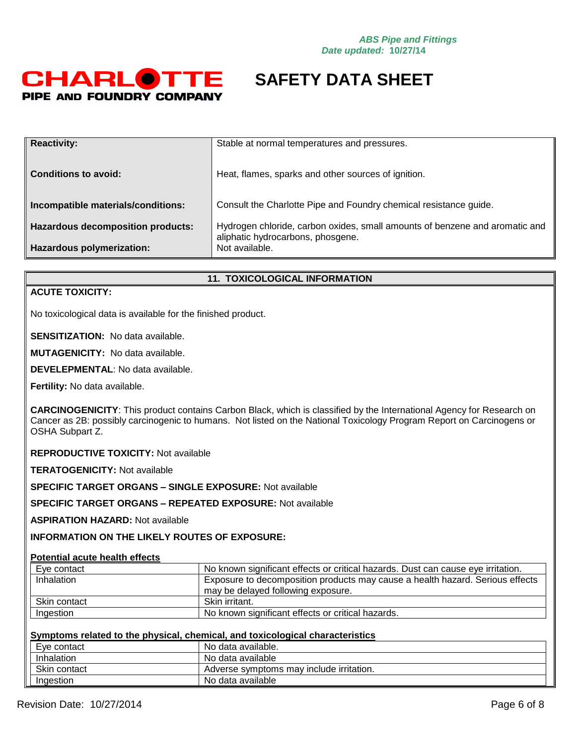

| <b>Reactivity:</b>                       | Stable at normal temperatures and pressures.                                                                     |
|------------------------------------------|------------------------------------------------------------------------------------------------------------------|
| <b>Conditions to avoid:</b>              | Heat, flames, sparks and other sources of ignition.                                                              |
|                                          |                                                                                                                  |
| Incompatible materials/conditions:       | Consult the Charlotte Pipe and Foundry chemical resistance guide.                                                |
|                                          |                                                                                                                  |
|                                          |                                                                                                                  |
| <b>Hazardous decomposition products:</b> | Hydrogen chloride, carbon oxides, small amounts of benzene and aromatic and<br>aliphatic hydrocarbons, phosgene. |
| Hazardous polymerization:                | Not available.                                                                                                   |
|                                          |                                                                                                                  |

#### **11. TOXICOLOGICAL INFORMATION**

#### **ACUTE TOXICITY:**

No toxicological data is available for the finished product.

**SENSITIZATION:** No data available.

**MUTAGENICITY:** No data available.

**DEVELEPMENTAL**: No data available.

**Fertility:** No data available.

**CARCINOGENICITY**: This product contains Carbon Black, which is classified by the International Agency for Research on Cancer as 2B: possibly carcinogenic to humans. Not listed on the National Toxicology Program Report on Carcinogens or OSHA Subpart Z.

**REPRODUCTIVE TOXICITY:** Not available

**TERATOGENICITY:** Not available

**SPECIFIC TARGET ORGANS – SINGLE EXPOSURE:** Not available

**SPECIFIC TARGET ORGANS – REPEATED EXPOSURE:** Not available

**ASPIRATION HAZARD:** Not available

**INFORMATION ON THE LIKELY ROUTES OF EXPOSURE:**

### **Potential acute health effects**

| Eve contact  | No known significant effects or critical hazards. Dust can cause eye irritation. |  |
|--------------|----------------------------------------------------------------------------------|--|
| Inhalation   | Exposure to decomposition products may cause a health hazard. Serious effects    |  |
|              | may be delayed following exposure.                                               |  |
| Skin contact | Skin irritant.                                                                   |  |
| Ingestion    | No known significant effects or critical hazards.                                |  |

#### **Symptoms related to the physical, chemical, and toxicological characteristics**

| Eye contact  | No data available.                       |
|--------------|------------------------------------------|
| Inhalation   | No data available                        |
| Skin contact | Adverse symptoms may include irritation. |
| Ingestion    | No data available                        |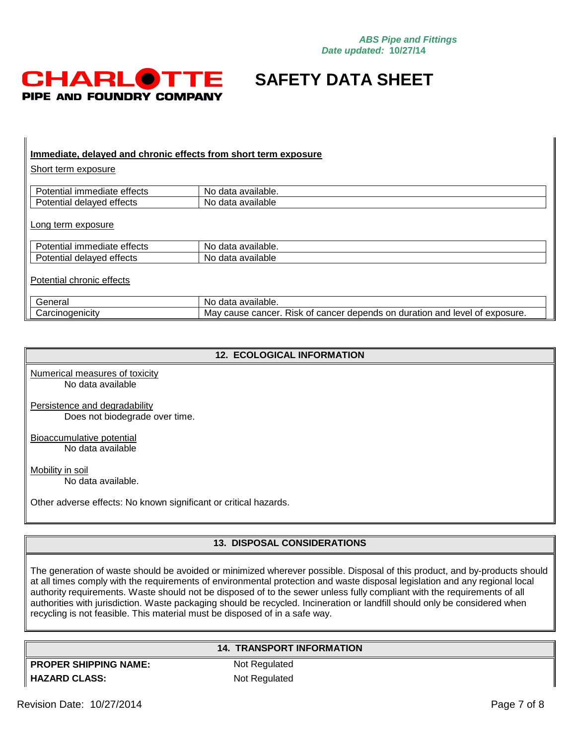

#### **Immediate, delayed and chronic effects from short term exposure**

Short term exposure

| <br>лa<br>ıе<br>Ш<br>enecis<br>шаг | <br>No<br>$\sim$<br>∵allable.<br>dat. |
|------------------------------------|---------------------------------------|
| ша<br>uuu<br>uua                   | Nc<br>$\sim$<br>ailable<br>dat.       |

Long term exposure

| $\cdots$<br>ettects<br>$-1 - 1$<br>orate<br>માસા<br>ner.<br>л               | available.<br>No<br>data |
|-----------------------------------------------------------------------------|--------------------------|
| . .<br>attorts<br>$+ \cdot -$<br>aver<br>dela<br>માત્રા<br>. JI.<br>ייסטנט. | available<br>NΩ<br>data  |
|                                                                             |                          |

Potential chronic effects

| `enera∟<br>ואר                               | available.<br>No<br>data                                                                                       |
|----------------------------------------------|----------------------------------------------------------------------------------------------------------------|
| $\sim$ $\sim$ $\sim$<br>∩ıcıtv<br>Carcinoder | exposure.<br>cancer<br>and<br>cancer<br>level<br>depends<br>Mav<br>or<br>Οt<br>duration<br>cause<br>KISK<br>Οt |

#### **12. ECOLOGICAL INFORMATION**

Numerical measures of toxicity No data available

Persistence and degradability Does not biodegrade over time.

Bioaccumulative potential No data available

Mobility in soil No data available.

Other adverse effects: No known significant or critical hazards.

### **13. DISPOSAL CONSIDERATIONS**

The generation of waste should be avoided or minimized wherever possible. Disposal of this product, and by-products should at all times comply with the requirements of environmental protection and waste disposal legislation and any regional local authority requirements. Waste should not be disposed of to the sewer unless fully compliant with the requirements of all authorities with jurisdiction. Waste packaging should be recycled. Incineration or landfill should only be considered when recycling is not feasible. This material must be disposed of in a safe way.

#### **14. TRANSPORT INFORMATION**

**PROPER SHIPPING NAME:** Not Regulated **HAZARD CLASS:** Not Regulated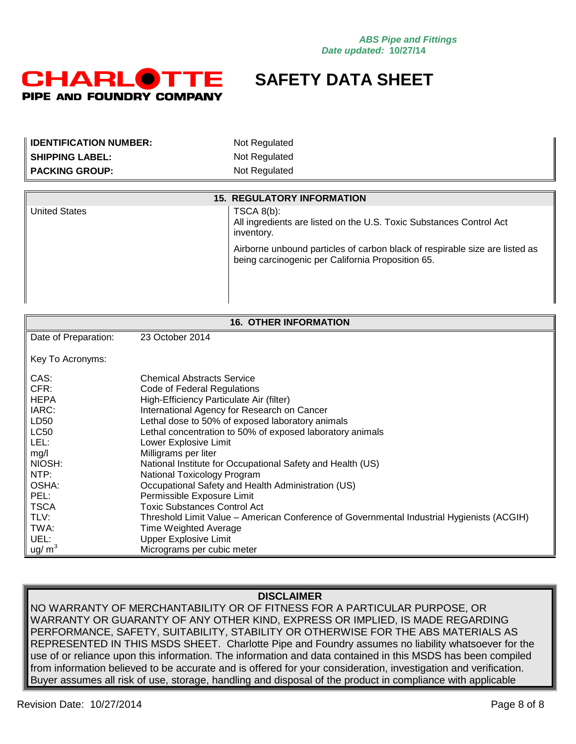

| <b>IDENTIFICATION NUMBER:</b> | Not Regulated                                                                                                                    |  |
|-------------------------------|----------------------------------------------------------------------------------------------------------------------------------|--|
| <b>SHIPPING LABEL:</b>        | Not Regulated                                                                                                                    |  |
| <b>PACKING GROUP:</b>         | Not Regulated                                                                                                                    |  |
|                               |                                                                                                                                  |  |
|                               | <b>15. REGULATORY INFORMATION</b>                                                                                                |  |
| <b>United States</b>          | TSCA 8(b):<br>All ingredients are listed on the U.S. Toxic Substances Control Act<br>inventory.                                  |  |
|                               | Airborne unbound particles of carbon black of respirable size are listed as<br>being carcinogenic per California Proposition 65. |  |
|                               |                                                                                                                                  |  |
| <b>16. OTHER INFORMATION</b>  |                                                                                                                                  |  |
| Date of Preparation:          | 23 October 2014                                                                                                                  |  |
| Key To Acronyms:              |                                                                                                                                  |  |
| CAS:                          | <b>Chemical Abstracts Service</b>                                                                                                |  |
| CFR:                          | Code of Federal Regulations                                                                                                      |  |
| <b>HEPA</b>                   | High-Efficiency Particulate Air (filter)                                                                                         |  |
| IARC:                         | International Agency for Research on Cancer                                                                                      |  |
| LD50                          | Lethal dose to 50% of exposed laboratory animals                                                                                 |  |
| <b>LC50</b>                   | Lethal concentration to 50% of exposed laboratory animals                                                                        |  |
| LEL:                          | Lower Explosive Limit                                                                                                            |  |
| mg/l                          | Milligrams per liter                                                                                                             |  |
| NIOSH:                        | National Institute for Occupational Safety and Health (US)                                                                       |  |
| NTP:                          | National Toxicology Program                                                                                                      |  |
| OSHA:                         | Occupational Safety and Health Administration (US)                                                                               |  |
| PEL:                          | Permissible Exposure Limit                                                                                                       |  |
| <b>TSCA</b>                   | <b>Toxic Substances Control Act</b>                                                                                              |  |
| TLV:                          | Threshold Limit Value - American Conference of Governmental Industrial Hygienists (ACGIH)                                        |  |
| TWA:                          | <b>Time Weighted Average</b>                                                                                                     |  |
| UEL:                          | <b>Upper Explosive Limit</b>                                                                                                     |  |
| $\mu$ g/ m <sup>3</sup>       | Micrograms per cubic meter                                                                                                       |  |

### **DISCLAIMER**

NO WARRANTY OF MERCHANTABILITY OR OF FITNESS FOR A PARTICULAR PURPOSE, OR WARRANTY OR GUARANTY OF ANY OTHER KIND, EXPRESS OR IMPLIED, IS MADE REGARDING PERFORMANCE, SAFETY, SUITABILITY, STABILITY OR OTHERWISE FOR THE ABS MATERIALS AS REPRESENTED IN THIS MSDS SHEET. Charlotte Pipe and Foundry assumes no liability whatsoever for the use of or reliance upon this information. The information and data contained in this MSDS has been compiled from information believed to be accurate and is offered for your consideration, investigation and verification. Buyer assumes all risk of use, storage, handling and disposal of the product in compliance with applicable